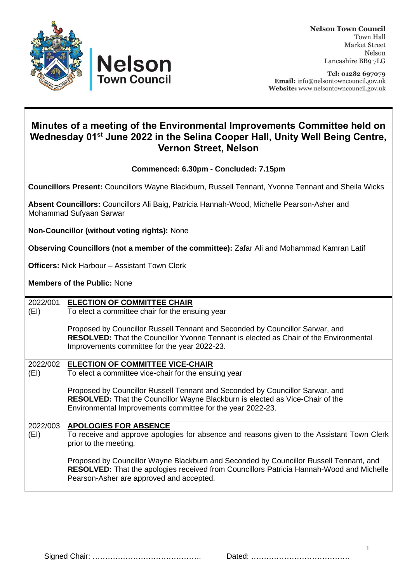



Tel: 01282 697079 Email: info@nelsontowncouncil.gov.uk Website: www.nelsontowncouncil.gov.uk

## **Minutes of a meeting of the Environmental Improvements Committee held on Wednesday 01 st June 2022 in the Selina Cooper Hall, Unity Well Being Centre, Vernon Street, Nelson**

**Commenced: 6.30pm - Concluded: 7.15pm**

**Councillors Present:** Councillors Wayne Blackburn, Russell Tennant, Yvonne Tennant and Sheila Wicks

**Absent Councillors:** Councillors Ali Baig, Patricia Hannah-Wood, Michelle Pearson-Asher and Mohammad Sufyaan Sarwar

**Non-Councillor (without voting rights):** None

**Observing Councillors (not a member of the committee):** Zafar Ali and Mohammad Kamran Latif

**Officers:** Nick Harbour – Assistant Town Clerk

**Members of the Public:** None

| 2022/001 | <b>ELECTION OF COMMITTEE CHAIR</b>                                                                                                                                                                                             |
|----------|--------------------------------------------------------------------------------------------------------------------------------------------------------------------------------------------------------------------------------|
| (EI)     | To elect a committee chair for the ensuing year                                                                                                                                                                                |
|          | Proposed by Councillor Russell Tennant and Seconded by Councillor Sarwar, and<br><b>RESOLVED:</b> That the Councillor Yvonne Tennant is elected as Chair of the Environmental<br>Improvements committee for the year 2022-23.  |
| 2022/002 | <b>ELECTION OF COMMITTEE VICE-CHAIR</b>                                                                                                                                                                                        |
| (EI)     | To elect a committee vice-chair for the ensuing year                                                                                                                                                                           |
|          | Proposed by Councillor Russell Tennant and Seconded by Councillor Sarwar, and<br><b>RESOLVED:</b> That the Councillor Wayne Blackburn is elected as Vice-Chair of the                                                          |
|          | Environmental Improvements committee for the year 2022-23.                                                                                                                                                                     |
| 2022/003 | <b>APOLOGIES FOR ABSENCE</b>                                                                                                                                                                                                   |
| (EI)     | To receive and approve apologies for absence and reasons given to the Assistant Town Clerk<br>prior to the meeting.                                                                                                            |
|          | Proposed by Councillor Wayne Blackburn and Seconded by Councillor Russell Tennant, and<br>RESOLVED: That the apologies received from Councillors Patricia Hannah-Wood and Michelle<br>Pearson-Asher are approved and accepted. |
|          |                                                                                                                                                                                                                                |

1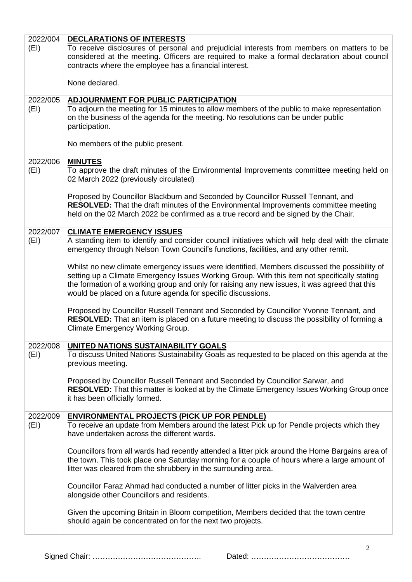| 2022/004<br>(EI) | <b>DECLARATIONS OF INTERESTS</b><br>To receive disclosures of personal and prejudicial interests from members on matters to be<br>considered at the meeting. Officers are required to make a formal declaration about council<br>contracts where the employee has a financial interest.                                                                       |
|------------------|---------------------------------------------------------------------------------------------------------------------------------------------------------------------------------------------------------------------------------------------------------------------------------------------------------------------------------------------------------------|
|                  | None declared.                                                                                                                                                                                                                                                                                                                                                |
| 2022/005<br>(EI) | <b>ADJOURNMENT FOR PUBLIC PARTICIPATION</b><br>To adjourn the meeting for 15 minutes to allow members of the public to make representation<br>on the business of the agenda for the meeting. No resolutions can be under public<br>participation.                                                                                                             |
|                  | No members of the public present.                                                                                                                                                                                                                                                                                                                             |
| 2022/006<br>(EI) | <b>MINUTES</b><br>To approve the draft minutes of the Environmental Improvements committee meeting held on<br>02 March 2022 (previously circulated)                                                                                                                                                                                                           |
|                  | Proposed by Councillor Blackburn and Seconded by Councillor Russell Tennant, and<br>RESOLVED: That the draft minutes of the Environmental Improvements committee meeting<br>held on the 02 March 2022 be confirmed as a true record and be signed by the Chair.                                                                                               |
| 2022/007<br>(EI) | <b>CLIMATE EMERGENCY ISSUES</b><br>A standing item to identify and consider council initiatives which will help deal with the climate<br>emergency through Nelson Town Council's functions, facilities, and any other remit.                                                                                                                                  |
|                  | Whilst no new climate emergency issues were identified, Members discussed the possibility of<br>setting up a Climate Emergency Issues Working Group. With this item not specifically stating<br>the formation of a working group and only for raising any new issues, it was agreed that this<br>would be placed on a future agenda for specific discussions. |
|                  | Proposed by Councillor Russell Tennant and Seconded by Councillor Yvonne Tennant, and<br>RESOLVED: That an item is placed on a future meeting to discuss the possibility of forming a<br>Climate Emergency Working Group.                                                                                                                                     |
| 2022/008<br>(EI) | UNITED NATIONS SUSTAINABILITY GOALS<br>To discuss United Nations Sustainability Goals as requested to be placed on this agenda at the<br>previous meeting.                                                                                                                                                                                                    |
|                  | Proposed by Councillor Russell Tennant and Seconded by Councillor Sarwar, and<br>RESOLVED: That this matter is looked at by the Climate Emergency Issues Working Group once<br>it has been officially formed.                                                                                                                                                 |
| 2022/009<br>(EI) | <b>ENVIRONMENTAL PROJECTS (PICK UP FOR PENDLE)</b><br>To receive an update from Members around the latest Pick up for Pendle projects which they<br>have undertaken across the different wards.                                                                                                                                                               |
|                  | Councillors from all wards had recently attended a litter pick around the Home Bargains area of<br>the town. This took place one Saturday morning for a couple of hours where a large amount of<br>litter was cleared from the shrubbery in the surrounding area.                                                                                             |
|                  | Councillor Faraz Ahmad had conducted a number of litter picks in the Walverden area<br>alongside other Councillors and residents.                                                                                                                                                                                                                             |
|                  | Given the upcoming Britain in Bloom competition, Members decided that the town centre<br>should again be concentrated on for the next two projects.                                                                                                                                                                                                           |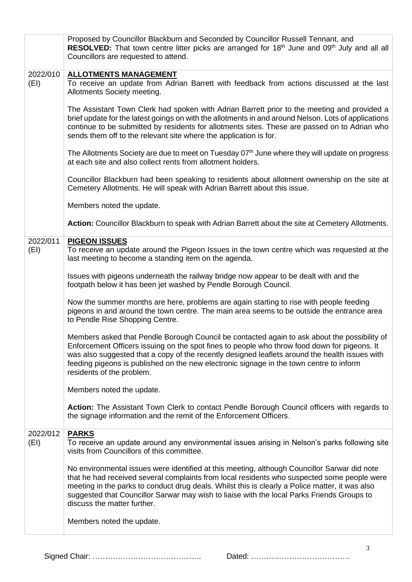|                  | Proposed by Councillor Blackburn and Seconded by Councillor Russell Tennant, and<br>RESOLVED: That town centre litter picks are arranged for 18 <sup>th</sup> June and 09 <sup>th</sup> July and all all<br>Councillors are requested to attend.                                                                                                                                                                            |
|------------------|-----------------------------------------------------------------------------------------------------------------------------------------------------------------------------------------------------------------------------------------------------------------------------------------------------------------------------------------------------------------------------------------------------------------------------|
| 2022/010<br>(EI) | <b>ALLOTMENTS MANAGEMENT</b><br>To receive an update from Adrian Barrett with feedback from actions discussed at the last<br>Allotments Society meeting.                                                                                                                                                                                                                                                                    |
|                  | The Assistant Town Clerk had spoken with Adrian Barrett prior to the meeting and provided a<br>brief update for the latest goings on with the allotments in and around Nelson. Lots of applications<br>continue to be submitted by residents for allotments sites. These are passed on to Adrian who<br>sends them off to the relevant site where the application is for.                                                   |
|                  | The Allotments Society are due to meet on Tuesday 07 <sup>th</sup> June where they will update on progress<br>at each site and also collect rents from allotment holders.                                                                                                                                                                                                                                                   |
|                  | Councillor Blackburn had been speaking to residents about allotment ownership on the site at<br>Cemetery Allotments. He will speak with Adrian Barrett about this issue.                                                                                                                                                                                                                                                    |
|                  | Members noted the update.                                                                                                                                                                                                                                                                                                                                                                                                   |
|                  | Action: Councillor Blackburn to speak with Adrian Barrett about the site at Cemetery Allotments.                                                                                                                                                                                                                                                                                                                            |
| 2022/011<br>(EI) | <b>PIGEON ISSUES</b><br>To receive an update around the Pigeon Issues in the town centre which was requested at the<br>last meeting to become a standing item on the agenda.                                                                                                                                                                                                                                                |
|                  | Issues with pigeons underneath the railway bridge now appear to be dealt with and the<br>footpath below it has been jet washed by Pendle Borough Council.                                                                                                                                                                                                                                                                   |
|                  | Now the summer months are here, problems are again starting to rise with people feeding<br>pigeons in and around the town centre. The main area seems to be outside the entrance area<br>to Pendle Rise Shopping Centre.                                                                                                                                                                                                    |
|                  | Members asked that Pendle Borough Council be contacted again to ask about the possibility of<br>Enforcement Officers issuing on the spot fines to people who throw food down for pigeons. It<br>was also suggested that a copy of the recently designed leaflets around the health issues with<br>feeding pigeons is published on the new electronic signage in the town centre to inform<br>residents of the problem.      |
|                  | Members noted the update.                                                                                                                                                                                                                                                                                                                                                                                                   |
|                  | Action: The Assistant Town Clerk to contact Pendle Borough Council officers with regards to<br>the signage information and the remit of the Enforcement Officers.                                                                                                                                                                                                                                                           |
| 2022/012<br>(EI) | <b>PARKS</b><br>To receive an update around any environmental issues arising in Nelson's parks following site<br>visits from Councillors of this committee.                                                                                                                                                                                                                                                                 |
|                  | No environmental issues were identified at this meeting, although Councillor Sarwar did note<br>that he had received several complaints from local residents who suspected some people were<br>meeting in the parks to conduct drug deals. Whilst this is clearly a Police matter, it was also<br>suggested that Councillor Sarwar may wish to liaise with the local Parks Friends Groups to<br>discuss the matter further. |
|                  | Members noted the update.                                                                                                                                                                                                                                                                                                                                                                                                   |

Signed Chair: ……………………………………. Dated: …………………………………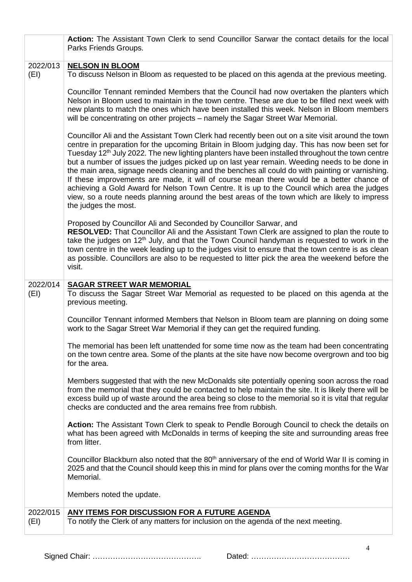|                  | Action: The Assistant Town Clerk to send Councillor Sarwar the contact details for the local<br>Parks Friends Groups.                                                                                                                                                                                                                                                                                                                                                                                                                                                                                                                                                                                                                                                                                                                       |
|------------------|---------------------------------------------------------------------------------------------------------------------------------------------------------------------------------------------------------------------------------------------------------------------------------------------------------------------------------------------------------------------------------------------------------------------------------------------------------------------------------------------------------------------------------------------------------------------------------------------------------------------------------------------------------------------------------------------------------------------------------------------------------------------------------------------------------------------------------------------|
|                  |                                                                                                                                                                                                                                                                                                                                                                                                                                                                                                                                                                                                                                                                                                                                                                                                                                             |
| 2022/013<br>(EI) | <b>NELSON IN BLOOM</b><br>To discuss Nelson in Bloom as requested to be placed on this agenda at the previous meeting.                                                                                                                                                                                                                                                                                                                                                                                                                                                                                                                                                                                                                                                                                                                      |
|                  | Councillor Tennant reminded Members that the Council had now overtaken the planters which<br>Nelson in Bloom used to maintain in the town centre. These are due to be filled next week with<br>new plants to match the ones which have been installed this week. Nelson in Bloom members<br>will be concentrating on other projects – namely the Sagar Street War Memorial.                                                                                                                                                                                                                                                                                                                                                                                                                                                                 |
|                  | Councillor Ali and the Assistant Town Clerk had recently been out on a site visit around the town<br>centre in preparation for the upcoming Britain in Bloom judging day. This has now been set for<br>Tuesday 12 <sup>th</sup> July 2022. The new lighting planters have been installed throughout the town centre<br>but a number of issues the judges picked up on last year remain. Weeding needs to be done in<br>the main area, signage needs cleaning and the benches all could do with painting or varnishing.<br>If these improvements are made, it will of course mean there would be a better chance of<br>achieving a Gold Award for Nelson Town Centre. It is up to the Council which area the judges<br>view, so a route needs planning around the best areas of the town which are likely to impress<br>the judges the most. |
|                  | Proposed by Councillor Ali and Seconded by Councillor Sarwar, and<br>RESOLVED: That Councillor Ali and the Assistant Town Clerk are assigned to plan the route to<br>take the judges on 12 <sup>th</sup> July, and that the Town Council handyman is requested to work in the<br>town centre in the week leading up to the judges visit to ensure that the town centre is as clean<br>as possible. Councillors are also to be requested to litter pick the area the weekend before the<br>visit.                                                                                                                                                                                                                                                                                                                                            |
| 2022/014         | <b>SAGAR STREET WAR MEMORIAL</b>                                                                                                                                                                                                                                                                                                                                                                                                                                                                                                                                                                                                                                                                                                                                                                                                            |
| (EI)             | To discuss the Sagar Street War Memorial as requested to be placed on this agenda at the<br>previous meeting.                                                                                                                                                                                                                                                                                                                                                                                                                                                                                                                                                                                                                                                                                                                               |
|                  | Councillor Tennant informed Members that Nelson in Bloom team are planning on doing some<br>work to the Sagar Street War Memorial if they can get the required funding.                                                                                                                                                                                                                                                                                                                                                                                                                                                                                                                                                                                                                                                                     |
|                  | The memorial has been left unattended for some time now as the team had been concentrating<br>on the town centre area. Some of the plants at the site have now become overgrown and too big<br>for the area.                                                                                                                                                                                                                                                                                                                                                                                                                                                                                                                                                                                                                                |
|                  | Members suggested that with the new McDonalds site potentially opening soon across the road<br>from the memorial that they could be contacted to help maintain the site. It is likely there will be<br>excess build up of waste around the area being so close to the memorial so it is vital that regular<br>checks are conducted and the area remains free from rubbish.                                                                                                                                                                                                                                                                                                                                                                                                                                                                  |
|                  | Action: The Assistant Town Clerk to speak to Pendle Borough Council to check the details on<br>what has been agreed with McDonalds in terms of keeping the site and surrounding areas free<br>from litter.                                                                                                                                                                                                                                                                                                                                                                                                                                                                                                                                                                                                                                  |
|                  | Councillor Blackburn also noted that the 80 <sup>th</sup> anniversary of the end of World War II is coming in<br>2025 and that the Council should keep this in mind for plans over the coming months for the War<br>Memorial.                                                                                                                                                                                                                                                                                                                                                                                                                                                                                                                                                                                                               |
|                  | Members noted the update.                                                                                                                                                                                                                                                                                                                                                                                                                                                                                                                                                                                                                                                                                                                                                                                                                   |
| 2022/015         | <b>ANY ITEMS FOR DISCUSSION FOR A FUTURE AGENDA</b>                                                                                                                                                                                                                                                                                                                                                                                                                                                                                                                                                                                                                                                                                                                                                                                         |
| (EI)             | To notify the Clerk of any matters for inclusion on the agenda of the next meeting.                                                                                                                                                                                                                                                                                                                                                                                                                                                                                                                                                                                                                                                                                                                                                         |